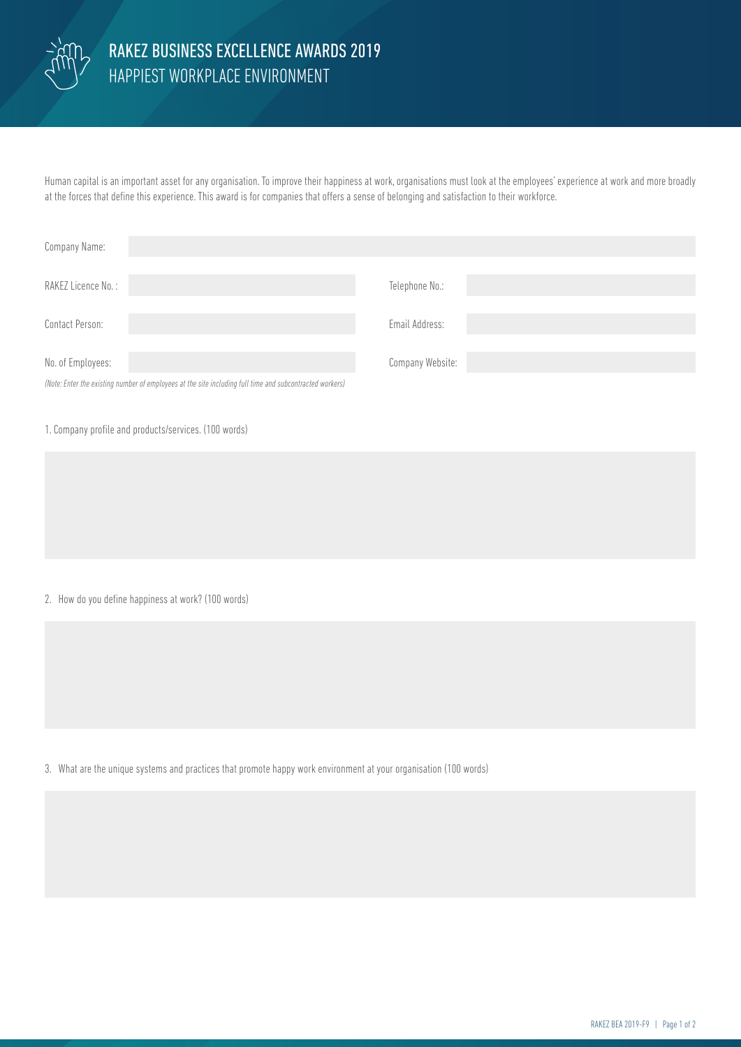

## HAPPIEST WORKPLACE ENVIRONMENT RAKEZ BUSINESS EXCELLENCE AWARDS 2019

Human capital is an important asset for any organisation. To improve their happiness at work, organisations must look at the employees' experience at work and more broadly at the forces that define this experience. This award is for companies that offers a sense of belonging and satisfaction to their workforce.

| Company Name:                                                                                            |                  |
|----------------------------------------------------------------------------------------------------------|------------------|
| RAKEZ Licence No.:                                                                                       | Telephone No.:   |
| Contact Person:                                                                                          | Email Address:   |
| No. of Employees:                                                                                        | Company Website: |
| (Note: Enter the existing number of employees at the site including full time and subcontracted workers) |                  |

1. Company profile and products/services. (100 words)

2. How do you define happiness at work? (100 words)

3. What are the unique systems and practices that promote happy work environment at your organisation (100 words)